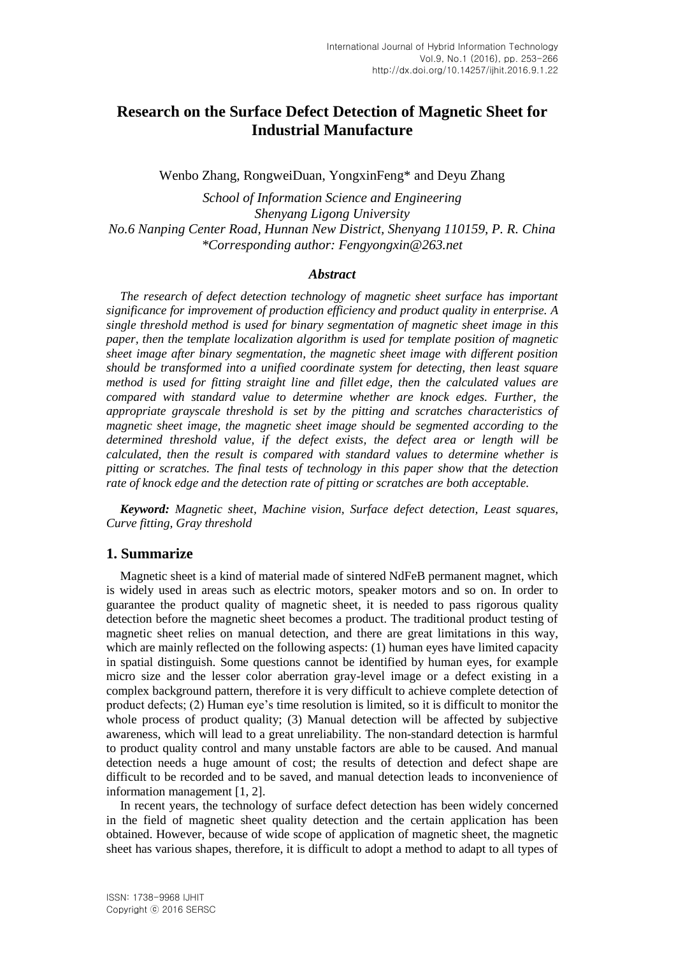# **Research on the Surface Defect Detection of Magnetic Sheet for Industrial Manufacture**

Wenbo Zhang, RongweiDuan, YongxinFeng\* and Deyu Zhang

*School of Information Science and Engineering Shenyang Ligong University No.6 Nanping Center Road, Hunnan New District, Shenyang 110159, P. R. China \*Corresponding author: Fengyongxin@263.net*

#### *Abstract*

*The research of defect detection technology of magnetic sheet surface has important significance for improvement of production efficiency and product quality in enterprise. A single threshold method is used for binary segmentation of magnetic sheet image in this paper, then the template localization algorithm is used for template position of magnetic sheet image after binary segmentation, the magnetic sheet image with different position should be transformed into a unified coordinate system for detecting, then least square method is used for fitting straight line and fillet edge, then the calculated values are compared with standard value to determine whether are knock edges. Further, the appropriate grayscale threshold is set by the pitting and scratches characteristics of magnetic sheet image, the magnetic sheet image should be segmented according to the determined threshold value, if the defect exists, the defect area or length will be calculated, then the result is compared with standard values to determine whether is pitting or scratches. The final tests of technology in this paper show that the detection rate of knock edge and the detection rate of pitting or scratches are both acceptable.*

*Keyword: Magnetic sheet, Machine vision, Surface defect detection, Least squares, Curve fitting, Gray threshold*

#### **1. Summarize**

Magnetic sheet is a kind of material made of sintered NdFeB permanent magnet, which is widely used in areas such as electric motors, speaker motors and so on. In order to guarantee the product quality of magnetic sheet, it is needed to pass rigorous quality detection before the magnetic sheet becomes a product. The traditional product testing of magnetic sheet relies on manual detection, and there are great limitations in this way, which are mainly reflected on the following aspects: (1) human eyes have limited capacity in spatial distinguish. Some questions cannot be identified by human eyes, for example micro size and the lesser color aberration gray-level image or a defect existing in a complex background pattern, therefore it is very difficult to achieve complete detection of product defects; (2) Human eye's time resolution is limited, so it is difficult to monitor the whole process of product quality; (3) Manual detection will be affected by subjective awareness, which will lead to a great unreliability. The non-standard detection is harmful to product quality control and many unstable factors are able to be caused. And manual detection needs a huge amount of cost; the results of detection and defect shape are difficult to be recorded and to be saved, and manual detection leads to inconvenience of information management [1, 2].

In recent years, the technology of surface defect detection has been widely concerned in the field of magnetic sheet quality detection and the certain application has been obtained. However, because of wide scope of application of magnetic sheet, the magnetic sheet has various shapes, therefore, it is difficult to adopt a method to adapt to all types of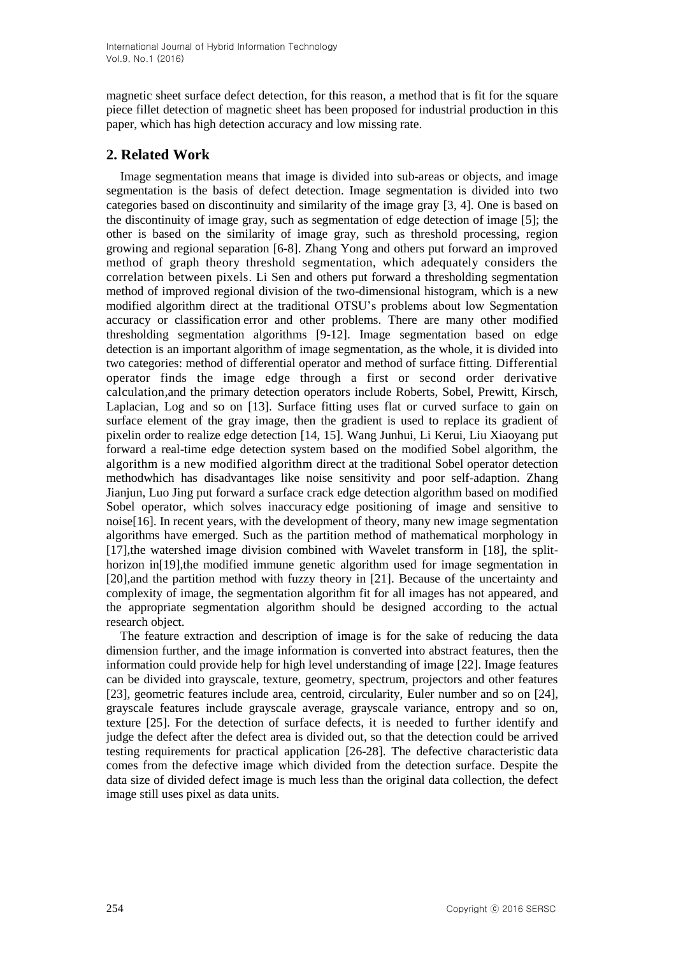magnetic sheet surface defect detection, for this reason, a method that is fit for the square piece fillet detection of magnetic sheet has been proposed for industrial production in this paper, which has high detection accuracy and low missing rate.

# **2. Related Work**

Image segmentation means that image is divided into sub-areas or objects, and image segmentation is the basis of defect detection. Image segmentation is divided into two categories based on discontinuity and similarity of the image gray [3, 4]. One is based on the discontinuity of image gray, such as segmentation of edge detection of image [5]; the other is based on the similarity of image gray, such as threshold processing, region growing and regional separation [6-8]. Zhang Yong and others put forward an improved method of graph theory threshold segmentation, which adequately considers the correlation between pixels. Li Sen and others put forward a thresholding segmentation method of improved regional division of the two-dimensional histogram, which is a new modified algorithm direct at the traditional OTSU's problems about low Segmentation accuracy or classification error and other problems. There are many other modified thresholding segmentation algorithms [9-12]. Image segmentation based on edge detection is an important algorithm of image segmentation, as the whole, it is divided into two categories: method of differential operator and method of surface fitting. Differential operator finds the image edge through a first or second order derivative calculation,and the primary detection operators include Roberts, Sobel, Prewitt, Kirsch, Laplacian, Log and so on [13]. Surface fitting uses flat or curved surface to gain on surface element of the gray image, then the gradient is used to replace its gradient of pixelin order to realize edge detection [14, 15]. Wang Junhui, Li Kerui, Liu Xiaoyang put forward a real-time edge detection system based on the modified Sobel algorithm, the algorithm is a new modified algorithm direct at the traditional Sobel operator detection methodwhich has disadvantages like noise sensitivity and poor self-adaption. Zhang Jianjun, Luo Jing put forward a surface crack edge detection algorithm based on modified Sobel operator, which solves inaccuracy edge positioning of image and sensitive to noise[16]. In recent years, with the development of theory, many new image segmentation algorithms have emerged. Such as the partition method of mathematical morphology in [17],the watershed image division combined with Wavelet transform in [18], the splithorizon in[19],the modified immune genetic algorithm used for image segmentation in [20],and the partition method with fuzzy theory in [21]. Because of the uncertainty and complexity of image, the segmentation algorithm fit for all images has not appeared, and the appropriate segmentation algorithm should be designed according to the actual research object.

The feature extraction and description of image is for the sake of reducing the data dimension further, and the image information is converted into abstract features, then the information could provide help for high level understanding of image [22]. Image features can be divided into grayscale, texture, geometry, spectrum, projectors and other features [23], geometric features include area, centroid, circularity, Euler number and so on [24], grayscale features include grayscale average, grayscale variance, entropy and so on, texture [25]. For the detection of surface defects, it is needed to further identify and judge the defect after the defect area is divided out, so that the detection could be arrived testing requirements for practical application [26-28]. The defective characteristic data comes from the defective image which divided from the detection surface. Despite the data size of divided defect image is much less than the original data collection, the defect image still uses pixel as data units.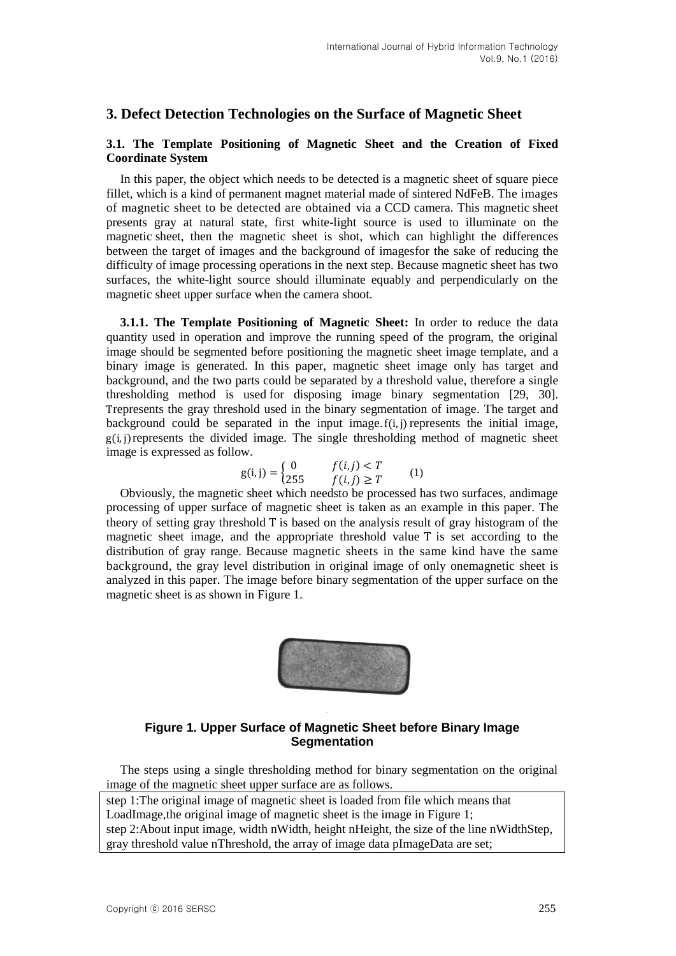## **3. Defect Detection Technologies on the Surface of Magnetic Sheet**

### **3.1. The Template Positioning of Magnetic Sheet and the Creation of Fixed Coordinate System**

In this paper, the object which needs to be detected is a magnetic sheet of square piece fillet, which is a kind of permanent magnet material made of sintered NdFeB. The images of magnetic sheet to be detected are obtained via a CCD camera. This magnetic sheet presents gray at natural state, first white-light source is used to illuminate on the magnetic sheet, then the magnetic sheet is shot, which can highlight the differences between the target of images and the background of imagesfor the sake of reducing the difficulty of image processing operations in the next step. Because magnetic sheet has two surfaces, the white-light source should illuminate equably and perpendicularly on the magnetic sheet upper surface when the camera shoot.

**3.1.1. The Template Positioning of Magnetic Sheet:** In order to reduce the data quantity used in operation and improve the running speed of the program, the original image should be segmented before positioning the magnetic sheet image template, and a binary image is generated. In this paper, magnetic sheet image only has target and background, and the two parts could be separated by a threshold value, therefore a single thresholding method is used for disposing image binary segmentation [29, 30]. represents the gray threshold used in the binary segmentation of image. The target and background could be separated in the input image.  $f(i,j)$  represents the initial image,  $g(i, j)$  represents the divided image. The single thresholding method of magnetic sheet image is expressed as follow.

$$
g(i,j) = \begin{cases} 0 & f(i,j) < T \\ 255 & f(i,j) \ge T \end{cases}
$$
 (1)

Obviously, the magnetic sheet which needsto be processed has two surfaces, andimage processing of upper surface of magnetic sheet is taken as an example in this paper. The theory of setting gray threshold  $T$  is based on the analysis result of gray histogram of the magnetic sheet image, and the appropriate threshold value T is set according to the distribution of gray range. Because magnetic sheets in the same kind have the same background, the gray level distribution in original image of only onemagnetic sheet is analyzed in this paper. The image before binary segmentation of the upper surface on the magnetic sheet is as shown in Figure 1.



## **Figure 1. Upper Surface of Magnetic Sheet before Binary Image Segmentation**

The steps using a single thresholding method for binary segmentation on the original image of the magnetic sheet upper surface are as follows.

step 1:The original image of magnetic sheet is loaded from file which means that LoadImage,the original image of magnetic sheet is the image in Figure 1; step 2:About input image, width nWidth, height nHeight, the size of the line nWidthStep, gray threshold value nThreshold, the array of image data pImageData are set;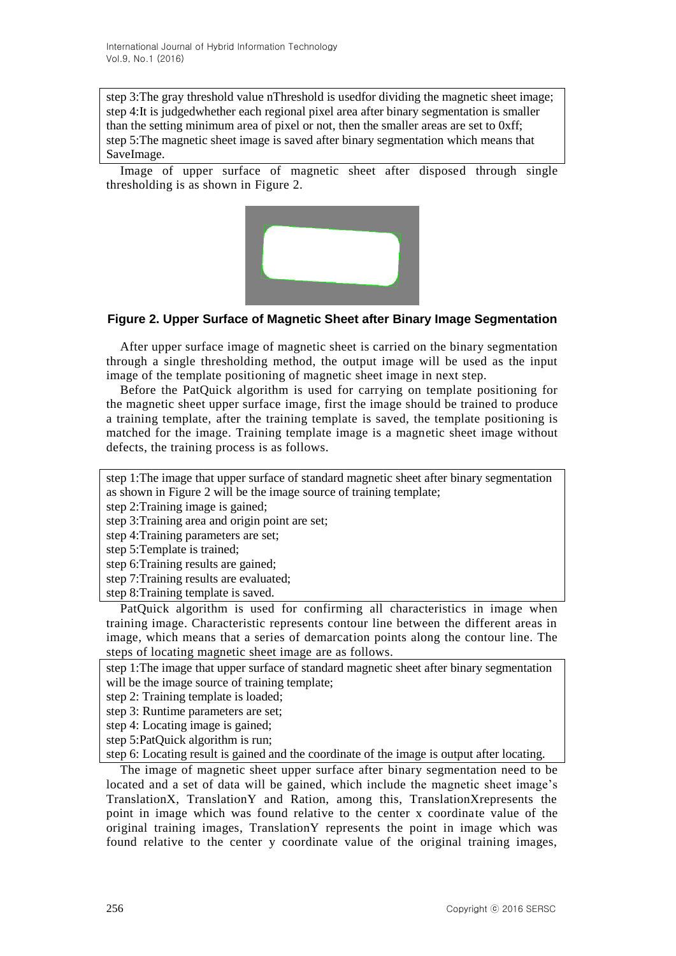step 3:The gray threshold value nThreshold is usedfor dividing the magnetic sheet image; step 4:It is judgedwhether each regional pixel area after binary segmentation is smaller than the setting minimum area of pixel or not, then the smaller areas are set to 0xff; step 5:The magnetic sheet image is saved after binary segmentation which means that SaveImage.

Image of upper surface of magnetic sheet after disposed through single thresholding is as shown in Figure 2.



## **Figure 2. Upper Surface of Magnetic Sheet after Binary Image Segmentation**

After upper surface image of magnetic sheet is carried on the binary segmentation through a single thresholding method, the output image will be used as the input image of the template positioning of magnetic sheet image in next step.

Before the PatQuick algorithm is used for carrying on template positioning for the magnetic sheet upper surface image, first the image should be trained to produce a training template, after the training template is saved, the template positioning is matched for the image. Training template image is a magnetic sheet image without defects, the training process is as follows.

step 1:The image that upper surface of standard magnetic sheet after binary segmentation as shown in Figure 2 will be the image source of training template;

step 2:Training image is gained;

step 3:Training area and origin point are set;

step 4:Training parameters are set;

step 5:Template is trained;

step 6:Training results are gained;

step 7:Training results are evaluated;

step 8:Training template is saved.

PatQuick algorithm is used for confirming all characteristics in image when training image. Characteristic represents contour line between the different areas in image, which means that a series of demarcation points along the contour line. The steps of locating magnetic sheet image are as follows.

step 1:The image that upper surface of standard magnetic sheet after binary segmentation will be the image source of training template;

step 2: Training template is loaded;

step 3: Runtime parameters are set;

step 4: Locating image is gained;

step 5:PatQuick algorithm is run;

step 6: Locating result is gained and the coordinate of the image is output after locating.

The image of magnetic sheet upper surface after binary segmentation need to be located and a set of data will be gained, which include the magnetic sheet image's TranslationX, TranslationY and Ration, among this, TranslationXrepresents the point in image which was found relative to the center x coordinate value of the original training images, TranslationY represents the point in image which was found relative to the center y coordinate value of the original training images,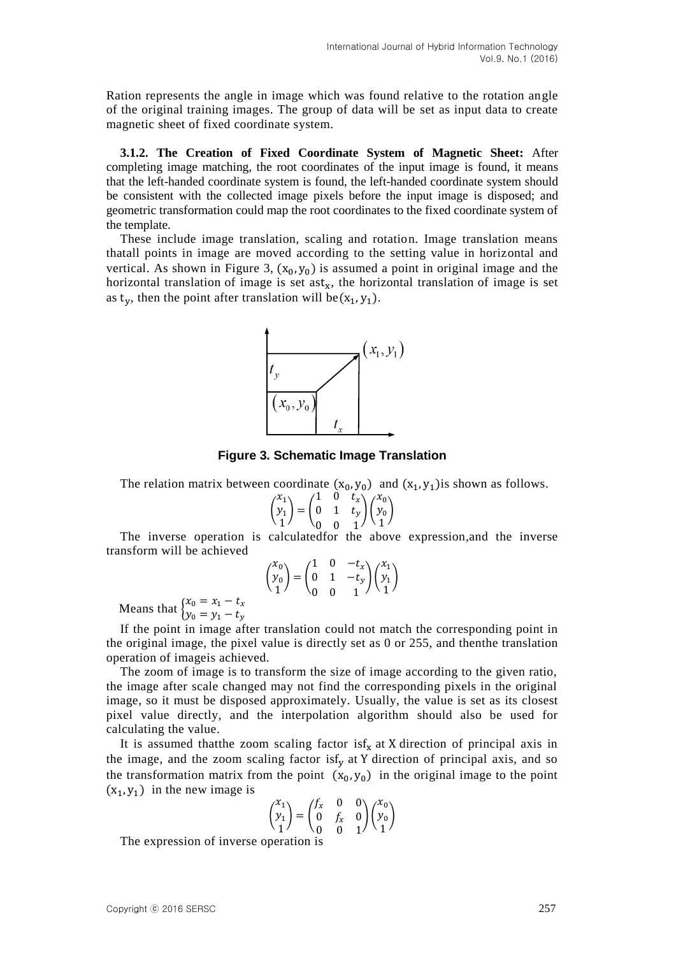Ration represents the angle in image which was found relative to the rotation angle of the original training images. The group of data will be set as input data to create magnetic sheet of fixed coordinate system.

**3.1.2. The Creation of Fixed Coordinate System of Magnetic Sheet:** After completing image matching, the root coordinates of the input image is found, it means that the left-handed coordinate system is found, the left-handed coordinate system should be consistent with the collected image pixels before the input image is disposed; and geometric transformation could map the root coordinates to the fixed coordinate system of the template.

These include image translation, scaling and rotation. Image translation means thatall points in image are moved according to the setting value in horizontal and vertical. As shown in Figure 3,  $(x_0, y_0)$  is assumed a point in original image and the horizontal translation of image is set ast<sub>x</sub>, the horizontal translation of image is set as  $t_v$ , then the point after translation will be  $(x_1, y_1)$ .



**Figure 3. Schematic Image Translation**

The relation matrix between coordinate  $(x_0, y_0)$  and  $(x_1, y_1)$  is shown as follows.

$$
\begin{pmatrix} x_1 \\ y_1 \\ 1 \end{pmatrix} = \begin{pmatrix} 1 & 0 & t_x \\ 0 & 1 & t_y \\ 0 & 0 & 1 \end{pmatrix} \begin{pmatrix} x_0 \\ y_0 \\ 1 \end{pmatrix}
$$

The inverse operation is calculatedfor the above expression,and the inverse transform will be achieved

$$
\begin{pmatrix} x_0 \\ y_0 \\ 1 \end{pmatrix} = \begin{pmatrix} 1 & 0 & -t_x \\ 0 & 1 & -t_y \\ 0 & 0 & 1 \end{pmatrix} \begin{pmatrix} x_1 \\ y_1 \\ 1 \end{pmatrix}
$$

Means that  $\int_{v}^{x}$  $\mathcal{Y}$ 

If the point in image after translation could not match the corresponding point in the original image, the pixel value is directly set as 0 or 255, and thenthe translation operation of imageis achieved.

The zoom of image is to transform the size of image according to the given ratio, the image after scale changed may not find the corresponding pixels in the original image, so it must be disposed approximately. Usually, the value is set as its closest pixel value directly, and the interpolation algorithm should also be used for calculating the value.

It is assumed that the zoom scaling factor is  $f_x$  at X direction of principal axis in the image, and the zoom scaling factor is  $f_v$  at Y direction of principal axis, and so the transformation matrix from the point  $(x_0, y_0)$  in the original image to the point  $(x_1, y_1)$  in the new image is

$$
\begin{pmatrix} x_1 \\ y_1 \\ 1 \end{pmatrix} = \begin{pmatrix} f_x & 0 & 0 \\ 0 & f_x & 0 \\ 0 & 0 & 1 \end{pmatrix} \begin{pmatrix} x_0 \\ y_0 \\ 1 \end{pmatrix}
$$

The expression of inverse operation is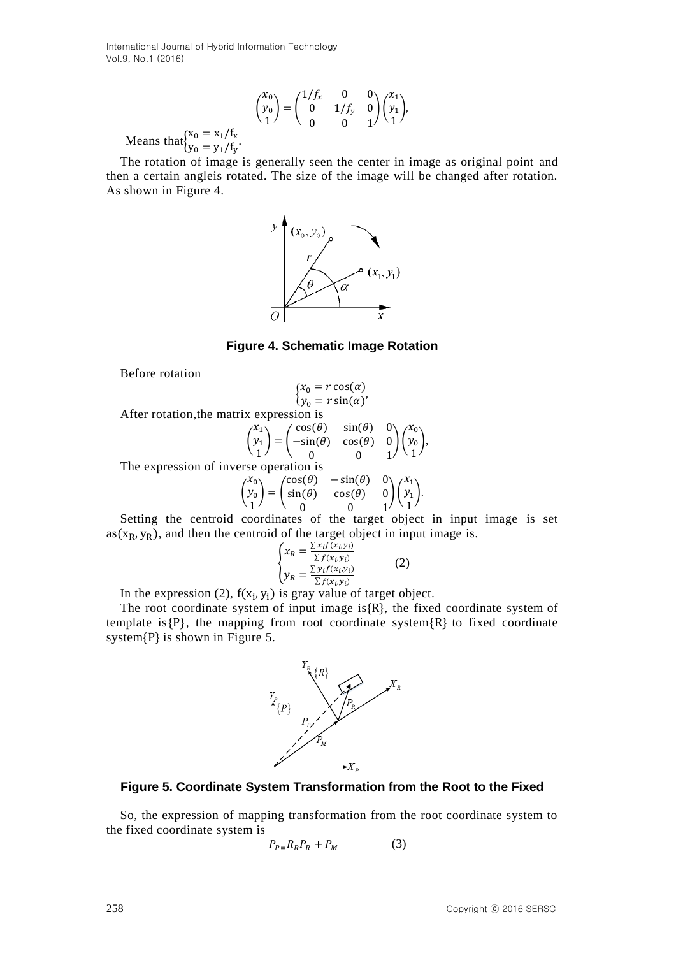$$
\begin{pmatrix} x_0 \\ y_0 \\ 1 \end{pmatrix} = \begin{pmatrix} 1/f_x & 0 & 0 \\ 0 & 1/f_y & 0 \\ 0 & 0 & 1 \end{pmatrix} \begin{pmatrix} x_1 \\ y_1 \\ 1 \end{pmatrix},
$$

Means that $\int_{\mathbf{v}}^{x}$  $y_0 = y_1 / f_v$ .

The rotation of image is generally seen the center in image as original point and then a certain angleis rotated. The size of the image will be changed after rotation. As shown in Figure 4.



**Figure 4. Schematic Image Rotation** 

Before rotation

$$
\begin{cases} x_0 = r \cos(\alpha) \\ y_0 = r \sin(\alpha) \end{cases}
$$

After rotation,the matrix expression is

$$
\begin{pmatrix} x_1 \\ y_1 \\ 1 \end{pmatrix} = \begin{pmatrix} \cos(\theta) & \sin(\theta) & 0 \\ -\sin(\theta) & \cos(\theta) & 0 \\ 0 & 0 & 1 \end{pmatrix} \begin{pmatrix} x_0 \\ y_0 \\ 1 \end{pmatrix},
$$

The expression of inverse operation is

$$
\begin{pmatrix} x_0 \\ y_0 \\ 1 \end{pmatrix} = \begin{pmatrix} \cos(\theta) & -\sin(\theta) & 0 \\ \sin(\theta) & \cos(\theta) & 0 \\ 0 & 0 & 1 \end{pmatrix} \begin{pmatrix} x_1 \\ y_1 \\ 1 \end{pmatrix}.
$$

Setting the centroid coordinates of the target object in input image is set  $as(x_R, y_R)$ , and then the centroid of the target object in input image is.

$$
\begin{cases}\n x_R = \frac{\sum x_i f(x_i, y_i)}{\sum f(x_i, y_i)} \\
 y_R = \frac{\sum y_i f(x_i, y_i)}{\sum f(x_i, y_i)}\n\end{cases} (2)
$$

In the expression (2),  $f(x_i, y_i)$  is gray value of target object.

The root coordinate system of input image is $\{R\}$ , the fixed coordinate system of template is  $\{P\}$ , the mapping from root coordinate system  $\{R\}$  to fixed coordinate system $\{P\}$  is shown in Figure 5.



### **Figure 5. Coordinate System Transformation from the Root to the Fixed**

So, the expression of mapping transformation from the root coordinate system to the fixed coordinate system is

$$
P_{P=R_R}P_R + P_M \tag{3}
$$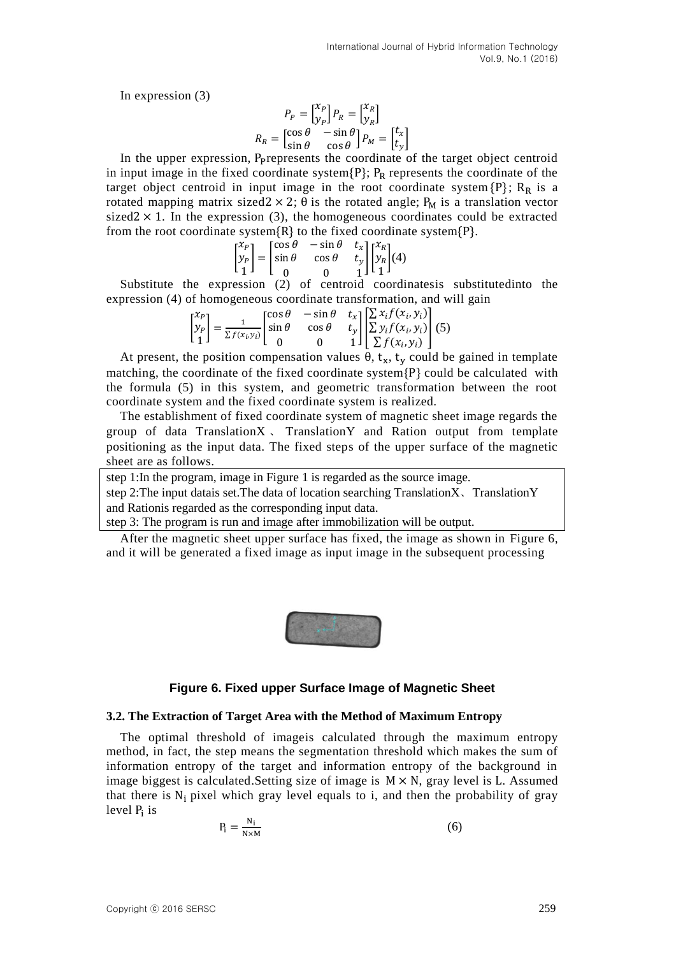In expression (3)

$$
P_P = \begin{bmatrix} x_P \\ y_P \end{bmatrix} P_R = \begin{bmatrix} x_R \\ y_R \end{bmatrix}
$$

$$
R_R = \begin{bmatrix} \cos \theta & -\sin \theta \\ \sin \theta & \cos \theta \end{bmatrix} P_M = \begin{bmatrix} t_x \\ t_y \end{bmatrix}
$$

In the upper expression, P<sub>p</sub>represents the coordinate of the target object centroid in input image in the fixed coordinate system  $\{P\}$ ;  $P_R$  represents the coordinate of the target object centroid in input image in the root coordinate system  $\{P\}$ ;  $R_R$  is a rotated mapping matrix sized  $2 \times 2$ ;  $\theta$  is the rotated angle; P<sub>M</sub> is a translation vector sized  $2 \times 1$ . In the expression (3), the homogeneous coordinates could be extracted from the root coordinate system  $\{R\}$  to the fixed coordinate system  $\{P\}$ .

$$
\begin{bmatrix} x_p \\ y_p \\ 1 \end{bmatrix} = \begin{bmatrix} \cos \theta & -\sin \theta & t_x \\ \sin \theta & \cos \theta & t_y \\ 0 & 0 & 1 \end{bmatrix} \begin{bmatrix} x_R \\ y_R \\ 1 \end{bmatrix} (4)
$$

Substitute the expression (2) of centroid coordinatesis substitutedinto the expression (4) of homogeneous coordinate transformation, and will gain

$$
\begin{bmatrix} x_p \\ y_p \\ 1 \end{bmatrix} = \frac{1}{\sum f(x_i, y_i)} \begin{bmatrix} \cos \theta & -\sin \theta & t_x \\ \sin \theta & \cos \theta & t_y \\ 0 & 0 & 1 \end{bmatrix} \begin{bmatrix} \sum x_i f(x_i, y_i) \\ \sum y_i f(x_i, y_i) \\ \sum f(x_i, y_i) \end{bmatrix} (5)
$$

At present, the position compensation values  $\theta$ ,  $t_x$ ,  $t_y$  could be gained in template matching, the coordinate of the fixed coordinate system  $\{P\}$  could be calculated with the formula (5) in this system, and geometric transformation between the root coordinate system and the fixed coordinate system is realized.

The establishment of fixed coordinate system of magnetic sheet image regards the group of data Translation $X$ . Translation $Y$  and Ration output from template positioning as the input data. The fixed steps of the upper surface of the magnetic sheet are as follows.

step 1:In the program, image in Figure 1 is regarded as the source image.

step 2:The input datais set.The data of location searching TranslationX、TranslationY and Rationis regarded as the corresponding input data.

step 3: The program is run and image after immobilization will be output.

After the magnetic sheet upper surface has fixed, the image as shown in Figure 6, and it will be generated a fixed image as input image in the subsequent processing



## **Figure 6. Fixed upper Surface Image of Magnetic Sheet**

#### **3.2. The Extraction of Target Area with the Method of Maximum Entropy**

The optimal threshold of imageis calculated through the maximum entropy method, in fact, the step means the segmentation threshold which makes the sum of information entropy of the target and information entropy of the background in image biggest is calculated. Setting size of image is  $M \times N$ , gray level is L. Assumed that there is  $N_i$  pixel which gray level equals to i, and then the probability of gray level P<sub>i</sub> is

$$
P_i = \frac{N_i}{N \times M} \tag{6}
$$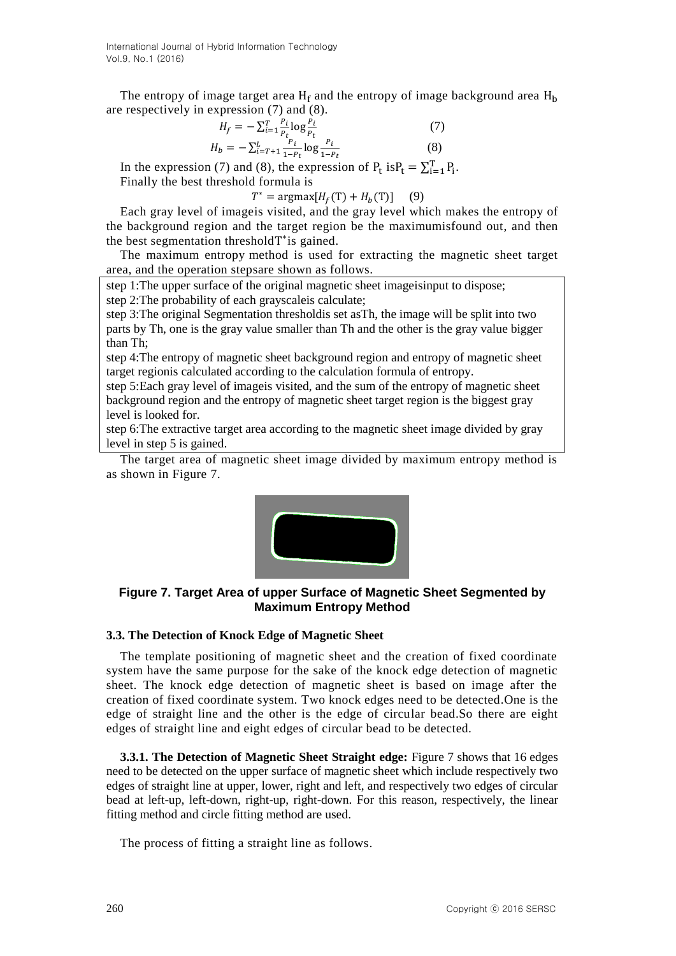The entropy of image target area  $H_f$  and the entropy of image background area  $H_h$ are respectively in expression (7) and (8).

$$
H_f = -\sum_{i=1}^{T} \frac{P_i}{P_t} \log \frac{P_i}{P_t}
$$
  
\n
$$
H_b = -\sum_{i=T+1}^{L} \frac{P_i}{1-P_t} \log \frac{P_i}{1-P_t}
$$
\n(7)

 $\mathbf{1}$ In the expression (7) and (8), the expression of  $P_t$  is  $P_t = \sum_{i=1}^{T} P_i$ .

Finally the best threshold formula is

 $T^* = \text{argmax}[H_f(T) + H_b(T)]$  (9)

Each gray level of imageis visited, and the gray level which makes the entropy of the background region and the target region be the maximumisfound out, and then the best segmentation thresholdT\*is gained.

The maximum entropy method is used for extracting the magnetic sheet target area, and the operation stepsare shown as follows.

step 1:The upper surface of the original magnetic sheet imageisinput to dispose; step 2:The probability of each grayscaleis calculate;

step 3:The original Segmentation thresholdis set asTh, the image will be split into two parts by Th, one is the gray value smaller than Th and the other is the gray value bigger than Th;

step 4:The entropy of magnetic sheet background region and entropy of magnetic sheet target regionis calculated according to the calculation formula of entropy.

step 5:Each gray level of imageis visited, and the sum of the entropy of magnetic sheet background region and the entropy of magnetic sheet target region is the biggest gray level is looked for.

step 6:The extractive target area according to the magnetic sheet image divided by gray level in step 5 is gained.

The target area of magnetic sheet image divided by maximum entropy method is as shown in Figure 7.



**Figure 7. Target Area of upper Surface of Magnetic Sheet Segmented by Maximum Entropy Method**

#### **3.3. The Detection of Knock Edge of Magnetic Sheet**

The template positioning of magnetic sheet and the creation of fixed coordinate system have the same purpose for the sake of the knock edge detection of magnetic sheet. The knock edge detection of magnetic sheet is based on image after the creation of fixed coordinate system. Two knock edges need to be detected.One is the edge of straight line and the other is the edge of circular bead.So there are eight edges of straight line and eight edges of circular bead to be detected.

**3.3.1. The Detection of Magnetic Sheet Straight edge:** Figure 7 shows that 16 edges need to be detected on the upper surface of magnetic sheet which include respectively two edges of straight line at upper, lower, right and left, and respectively two edges of circular bead at left-up, left-down, right-up, right-down. For this reason, respectively, the linear fitting method and circle fitting method are used.

The process of fitting a straight line as follows.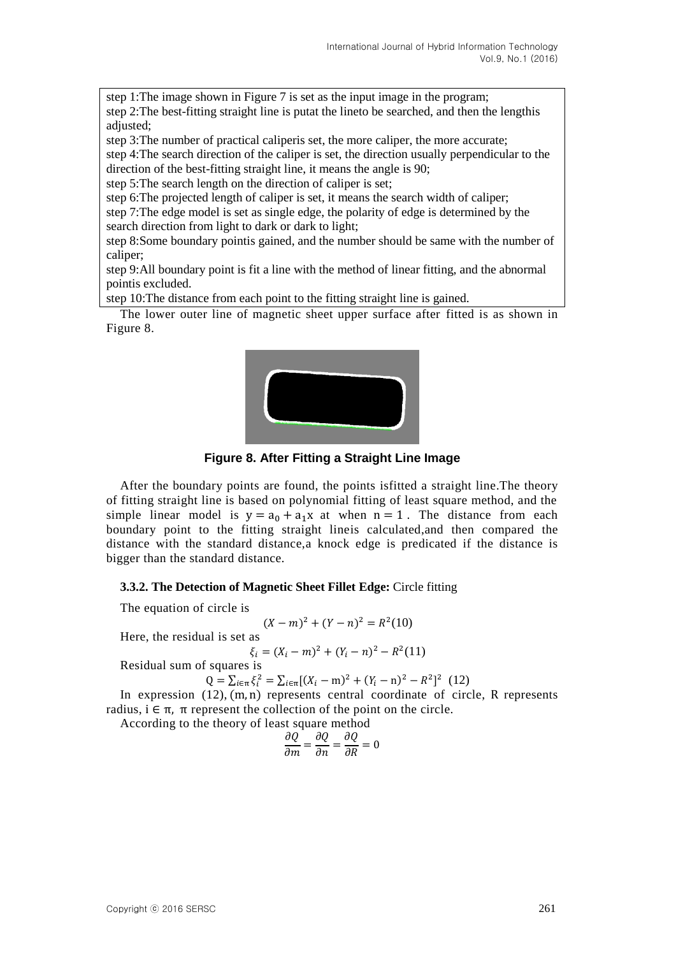step 1:The image shown in Figure 7 is set as the input image in the program; step 2:The best-fitting straight line is putat the lineto be searched, and then the lengthis adjusted;

step 3:The number of practical caliperis set, the more caliper, the more accurate;

step 4:The search direction of the caliper is set, the direction usually perpendicular to the direction of the best-fitting straight line, it means the angle is 90;

step 5:The search length on the direction of caliper is set;

step 6:The projected length of caliper is set, it means the search width of caliper;

step 7:The edge model is set as single edge, the polarity of edge is determined by the search direction from light to dark or dark to light;

step 8:Some boundary pointis gained, and the number should be same with the number of caliper;

step 9:All boundary point is fit a line with the method of linear fitting, and the abnormal pointis excluded.

step 10:The distance from each point to the fitting straight line is gained.

The lower outer line of magnetic sheet upper surface after fitted is as shown in Figure 8.



**Figure 8. After Fitting a Straight Line Image**

After the boundary points are found, the points isfitted a straight line.The theory of fitting straight line is based on polynomial fitting of least square method, and the simple linear model is  $y = a_0 + a_1x$  at when  $n = 1$ . The distance from each boundary point to the fitting straight lineis calculated,and then compared the distance with the standard distance,a knock edge is predicated if the distance is bigger than the standard distance.

**3.3.2. The Detection of Magnetic Sheet Fillet Edge:** Circle fitting

The equation of circle is

$$
(X - m)^2 + (Y - n)^2 = R^2(10)
$$

Here, the residual is set as

$$
\xi_i = (X_i - m)^2 + (Y_i - n)^2 - R^2(11)
$$

Residual sum of squares is

$$
Q = \sum_{i \in \pi} \xi_i^2 = \sum_{i \in \pi} [(X_i - m)^2 + (Y_i - n)^2 - R^2]^2
$$
 (12)

In expression  $(12)$ ,  $(m, n)$  represents central coordinate of circle, R represents radius,  $i \in \pi$ ,  $\pi$  represent the collection of the point on the circle.

According to the theory of least square method

$$
\frac{\partial Q}{\partial m} = \frac{\partial Q}{\partial n} = \frac{\partial Q}{\partial R} = 0
$$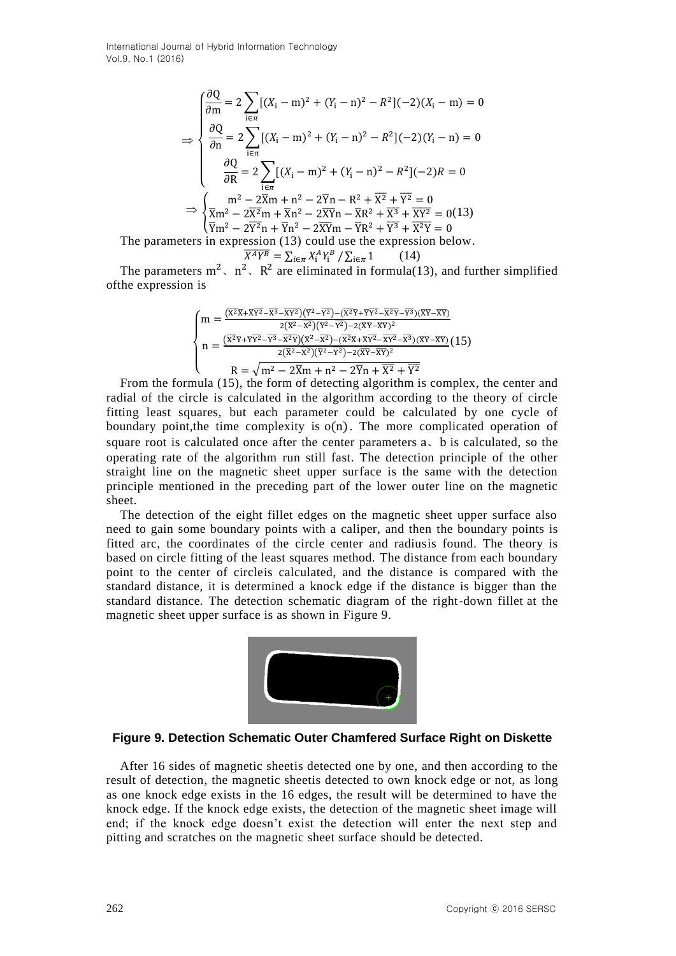$$
\frac{\partial Q}{\partial m} = 2 \sum_{i \in \pi} [(X_i - m)^2 + (Y_i - n)^2 - R^2](-2)(X_i - m) = 0
$$
  
\n
$$
\frac{\partial Q}{\partial n} = 2 \sum_{i \in \pi} [(X_i - m)^2 + (Y_i - n)^2 - R^2](-2)(Y_i - n) = 0
$$
  
\n
$$
\frac{\partial Q}{\partial R} = 2 \sum_{i \in \pi} [(X_i - m)^2 + (Y_i - n)^2 - R^2](-2)R = 0
$$
  
\n
$$
\Rightarrow \begin{cases} m^2 - 2\overline{X}m + n^2 - 2\overline{Y}n - R^2 + \overline{X}^2 + \overline{Y}^2 = 0\\ \overline{X}m^2 - 2\overline{X}^2m + \overline{X}n^2 - 2\overline{X}\overline{Y}n - \overline{X}R^2 + \overline{X}^3 + \overline{X}^2 = 0 \end{cases}
$$
  
\nThe parameters in expression (13) could use the expression below.  
\n
$$
\frac{\overline{X}AY^B}{\overline{X}AY^B} = \sum_{i \in \pi} \frac{XAY^B}{\overline{X}Y^2} = \frac{1}{2}(14)
$$

$$
\overline{Y^B} = \sum_{i \in \pi} X_i^A Y_i^B / \sum_{i \in \pi} 1 \tag{14}
$$

The parameters  $m^2$ ,  $n^2$ ,  $R^2$  are eliminated in formula(13), and further simplified ofthe expression is

$$
\begin{cases}\nm = \frac{(\overline{x^2}\overline{x} + \overline{x}\overline{y^2} - \overline{x^3} - \overline{x}\overline{y^2})(\overline{y^2} - \overline{y^2}) - (\overline{x^2}\overline{y} + \overline{y}\overline{y^2} - \overline{x^2}\overline{y} - \overline{y^3})(\overline{x}\overline{y} - \overline{x}\overline{y})}{2(\overline{x^2} - \overline{x^2})(\overline{y^2} - \overline{y^2}) - 2(\overline{x}\overline{y} - \overline{x}\overline{y})^2} \\
n = \frac{(\overline{x^2}\overline{y} + \overline{y}\overline{y^2} - \overline{y^2} - \overline{x^2}\overline{y})(\overline{x^2} - \overline{x^2}) - (\overline{x^2}\overline{x} + \overline{x}\overline{y^2} - \overline{x}\overline{y^2})(\overline{x}\overline{y} - \overline{x}\overline{y})}{2(\overline{x^2} - \overline{x^2})(\overline{y^2} - \overline{y^2}) - 2(\overline{x}\overline{y} - \overline{x}\overline{y})^2} \\
R = \sqrt{m^2 - 2\overline{X}m + n^2 - 2\overline{Y}n + \overline{X^2} + \overline{Y^2}} \\
n = (15) + \ln 6 \text{ for } n = 1, 2, 3, \dots
$$

 $= \begin{cases}\n\frac{1}{200} = \sum_{n=1}^{\infty} 2\sum_{n=1}^{\infty} (X_i - n)^2 + (Y_i - n)^2 - N^2(-2)(Y - n) = 0 \\
\frac{\partial R}{\partial R} = 2\sum_{n=1}^{\infty} ((X_i - n)^2 + (Y_i - n)^2 - N^2(-2)N = 0 \\
\frac{\partial R}{\partial R} = 2\sum_{n=1}^{\infty} ((X_i - n)^2 + (Y_i - n)^2 - N^2 + \sum_{n=1}^{\infty} (S - 1) \\
\frac{\partial R}{\partial R} = 2\sum_{n=1}^{\infty} (X_i - 2$ From the formula (15), the form of detecting algorithm is complex, the center and radial of the circle is calculated in the algorithm according to the theory of circle fitting least squares, but each parameter could be calculated by one cycle of boundary point, the time complexity is  $o(n)$ . The more complicated operation of square root is calculated once after the center parameters a, b is calculated, so the operating rate of the algorithm run still fast. The detection principle of the other straight line on the magnetic sheet upper surface is the same with the detection principle mentioned in the preceding part of the lower outer line on the magnetic sheet.

The detection of the eight fillet edges on the magnetic sheet upper surface also need to gain some boundary points with a caliper, and then the boundary points is fitted arc, the coordinates of the circle center and radiusis found. The theory is based on circle fitting of the least squares method. The distance from each boundary point to the center of circleis calculated, and the distance is compared with the standard distance, it is determined a knock edge if the distance is bigger than the standard distance. The detection schematic diagram of the right-down fillet at the magnetic sheet upper surface is as shown in Figure 9.



#### **Figure 9. Detection Schematic Outer Chamfered Surface Right on Diskette**

After 16 sides of magnetic sheetis detected one by one, and then according to the result of detection, the magnetic sheetis detected to own knock edge or not, as long as one knock edge exists in the 16 edges, the result will be determined to have the knock edge. If the knock edge exists, the detection of the magnetic sheet image will end; if the knock edge doesn't exist the detection will enter the next step and pitting and scratches on the magnetic sheet surface should be detected.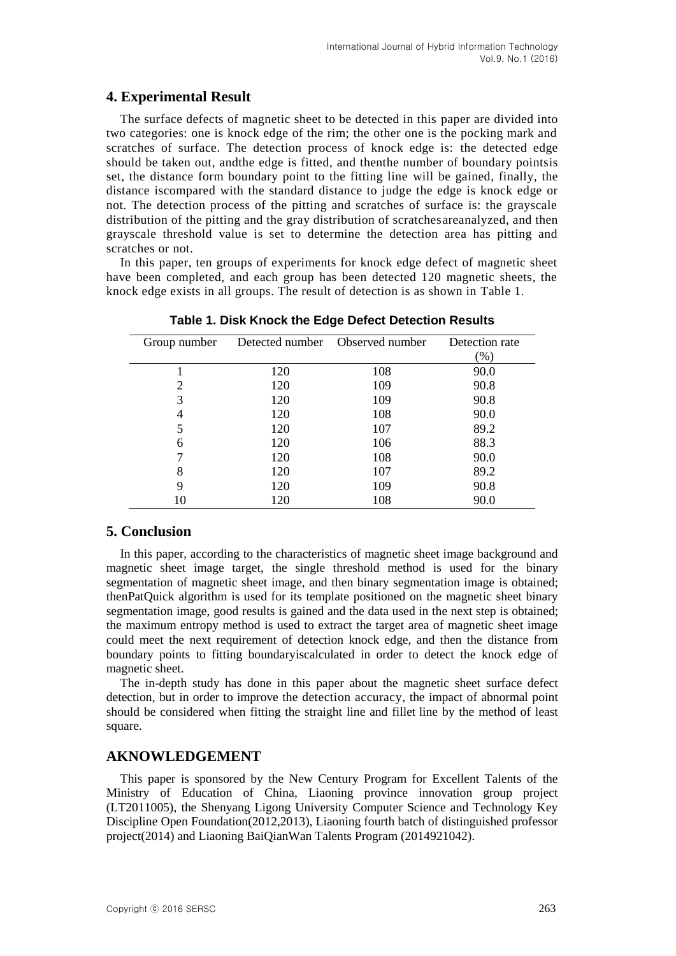## **4. Experimental Result**

The surface defects of magnetic sheet to be detected in this paper are divided into two categories: one is knock edge of the rim; the other one is the pocking mark and scratches of surface. The detection process of knock edge is: the detected edge should be taken out, andthe edge is fitted, and thenthe number of boundary pointsis set, the distance form boundary point to the fitting line will be gained, finally, the distance iscompared with the standard distance to judge the edge is knock edge or not. The detection process of the pitting and scratches of surface is: the grayscale distribution of the pitting and the gray distribution of scratchesareanalyzed, and then grayscale threshold value is set to determine the detection area has pitting and scratches or not.

In this paper, ten groups of experiments for knock edge defect of magnetic sheet have been completed, and each group has been detected 120 magnetic sheets, the knock edge exists in all groups. The result of detection is as shown in Table 1.

| Group number |     | Detected number Observed number | Detection rate |
|--------------|-----|---------------------------------|----------------|
|              |     |                                 | $(\% )$        |
|              | 120 | 108                             | 90.0           |
| 2            | 120 | 109                             | 90.8           |
| 3            | 120 | 109                             | 90.8           |
| 4            | 120 | 108                             | 90.0           |
|              | 120 | 107                             | 89.2           |
| 6            | 120 | 106                             | 88.3           |
|              | 120 | 108                             | 90.0           |
| 8            | 120 | 107                             | 89.2           |
| 9            | 120 | 109                             | 90.8           |
| 10           | 120 | 108                             | 90.0           |

**Table 1. Disk Knock the Edge Defect Detection Results**

## **5. Conclusion**

In this paper, according to the characteristics of magnetic sheet image background and magnetic sheet image target, the single threshold method is used for the binary segmentation of magnetic sheet image, and then binary segmentation image is obtained; thenPatQuick algorithm is used for its template positioned on the magnetic sheet binary segmentation image, good results is gained and the data used in the next step is obtained; the maximum entropy method is used to extract the target area of magnetic sheet image could meet the next requirement of detection knock edge, and then the distance from boundary points to fitting boundaryiscalculated in order to detect the knock edge of magnetic sheet.

The in-depth study has done in this paper about the magnetic sheet surface defect detection, but in order to improve the detection accuracy, the impact of abnormal point should be considered when fitting the straight line and fillet line by the method of least square.

## **AKNOWLEDGEMENT**

This paper is sponsored by the New Century Program for Excellent Talents of the Ministry of Education of China, Liaoning province innovation group project (LT2011005), the Shenyang Ligong University Computer Science and Technology Key Discipline Open Foundation(2012,2013), Liaoning fourth batch of distinguished professor project(2014) and Liaoning BaiQianWan Talents Program (2014921042).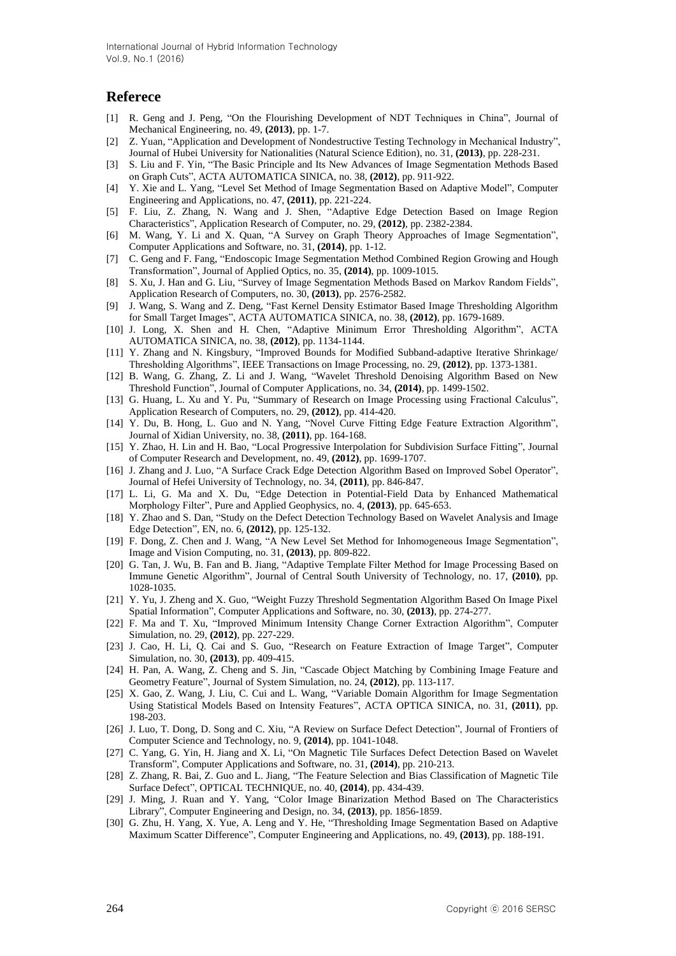#### **Referece**

- [1] R. Geng and J. Peng, "On the Flourishing Development of NDT Techniques in China", Journal of Mechanical Engineering, no. 49, **(2013)**, pp. 1-7.
- [2] Z. Yuan, "Application and Development of Nondestructive Testing Technology in Mechanical Industry", Journal of Hubei University for Nationalities (Natural Science Edition), no. 31, **(2013)**, pp. 228-231.
- [3] S. Liu and F. Yin, "The Basic Principle and Its New Advances of Image Segmentation Methods Based on Graph Cuts", ACTA AUTOMATICA SINICA, no. 38, **(2012)**, pp. 911-922.
- [4] Y. Xie and L. Yang, "Level Set Method of Image Segmentation Based on Adaptive Model", Computer Engineering and Applications, no. 47, **(2011)**, pp. 221-224.
- [5] F. Liu, Z. Zhang, N. Wang and J. Shen, "Adaptive Edge Detection Based on Image Region Characteristics", Application Research of Computer, no. 29, **(2012)**, pp. 2382-2384.
- [6] M. Wang, Y. Li and X. Quan, "A Survey on Graph Theory Approaches of Image Segmentation", Computer Applications and Software, no. 31, **(2014)**, pp. 1-12.
- [7] C. Geng and F. Fang, "Endoscopic Image Segmentation Method Combined Region Growing and Hough Transformation", Journal of Applied Optics, no. 35, **(2014)**, pp. 1009-1015.
- [8] S. Xu, J. Han and G. Liu, "Survey of Image Segmentation Methods Based on Markov Random Fields", Application Research of Computers, no. 30, **(2013)**, pp. 2576-2582.
- [9] J. Wang, S. Wang and Z. Deng, "Fast Kernel Density Estimator Based Image Thresholding Algorithm for Small Target Images", ACTA AUTOMATICA SINICA, no. 38, **(2012)**, pp. 1679-1689.
- [10] J. Long, X. Shen and H. Chen, "Adaptive Minimum Error Thresholding Algorithm", ACTA AUTOMATICA SINICA, no. 38, **(2012)**, pp. 1134-1144.
- [11] Y. Zhang and N. Kingsbury, "Improved Bounds for Modified Subband-adaptive Iterative Shrinkage/ Thresholding Algorithms", IEEE Transactions on Image Processing, no. 29, **(2012)**, pp. 1373-1381.
- [12] B. Wang, G. Zhang, Z. Li and J. Wang, "Wavelet Threshold Denoising Algorithm Based on New Threshold Function", Journal of Computer Applications, no. 34, **(2014)**, pp. 1499-1502.
- [13] G. Huang, L. Xu and Y. Pu, "Summary of Research on Image Processing using Fractional Calculus", Application Research of Computers, no. 29, **(2012)**, pp. 414-420.
- [14] Y. Du, B. Hong, L. Guo and N. Yang, "Novel Curve Fitting Edge Feature Extraction Algorithm", Journal of Xidian University, no. 38, **(2011)**, pp. 164-168.
- [15] Y. Zhao, H. Lin and H. Bao, "Local Progressive Interpolation for Subdivision Surface Fitting", Journal of Computer Research and Development, no. 49, **(2012)**, pp. 1699-1707.
- [16] J. Zhang and J. Luo, "A Surface Crack Edge Detection Algorithm Based on Improved Sobel Operator", Journal of Hefei University of Technology, no. 34, **(2011)**, pp. 846-847.
- [17] L. Li, G. Ma and X. Du, "Edge Detection in Potential-Field Data by Enhanced Mathematical Morphology Filter", Pure and Applied Geophysics, no. 4, **(2013)**, pp. 645-653.
- [18] Y. Zhao and S. Dan, "Study on the Defect Detection Technology Based on Wavelet Analysis and Image Edge Detection", EN, no. 6, **(2012)**, pp. 125-132.
- [19] F. Dong, Z. Chen and J. Wang, "A New Level Set Method for Inhomogeneous Image Segmentation", Image and Vision Computing, no. 31, **(2013)**, pp. 809-822.
- [20] G. Tan, J. Wu, B. Fan and B. Jiang, "Adaptive Template Filter Method for Image Processing Based on Immune Genetic Algorithm", Journal of Central South University of Technology, no. 17, **(2010)**, pp. 1028-1035.
- [21] Y. Yu, J. Zheng and X. Guo, "Weight Fuzzy Threshold Segmentation Algorithm Based On Image Pixel Spatial Information", Computer Applications and Software, no. 30, **(2013)**, pp. 274-277.
- [22] F. Ma and T. Xu, "Improved Minimum Intensity Change Corner Extraction Algorithm", Computer Simulation, no. 29, **(2012)**, pp. 227-229.
- [23] J. Cao, H. Li, Q. Cai and S. Guo, "Research on Feature Extraction of Image Target", Computer Simulation, no. 30, **(2013)**, pp. 409-415.
- [24] H. Pan, A. Wang, Z. Cheng and S. Jin, "Cascade Object Matching by Combining Image Feature and Geometry Feature", Journal of System Simulation, no. 24, **(2012)**, pp. 113-117.
- [25] X. Gao, Z. Wang, J. Liu, C. Cui and L. Wang, "Variable Domain Algorithm for Image Segmentation Using Statistical Models Based on Intensity Features", ACTA OPTICA SINICA, no. 31, **(2011)**, pp. 198-203.
- [26] J. Luo, T. Dong, D. Song and C. Xiu, "A Review on Surface Defect Detection", Journal of Frontiers of Computer Science and Technology, no. 9, **(2014)**, pp. 1041-1048.
- [27] C. Yang, G. Yin, H. Jiang and X. Li, "On Magnetic Tile Surfaces Defect Detection Based on Wavelet Transform", Computer Applications and Software, no. 31, **(2014)**, pp. 210-213.
- [28] Z. Zhang, R. Bai, Z. Guo and L. Jiang, "The Feature Selection and Bias Classification of Magnetic Tile Surface Defect", OPTICAL TECHNIQUE, no. 40, **(2014)**, pp. 434-439.
- [29] J. Ming, J. Ruan and Y. Yang, "Color Image Binarization Method Based on The Characteristics Library", Computer Engineering and Design, no. 34, **(2013)**, pp. 1856-1859.
- [30] G. Zhu, H. Yang, X. Yue, A. Leng and Y. He, "Thresholding Image Segmentation Based on Adaptive Maximum Scatter Difference", Computer Engineering and Applications, no. 49, **(2013)**, pp. 188-191.